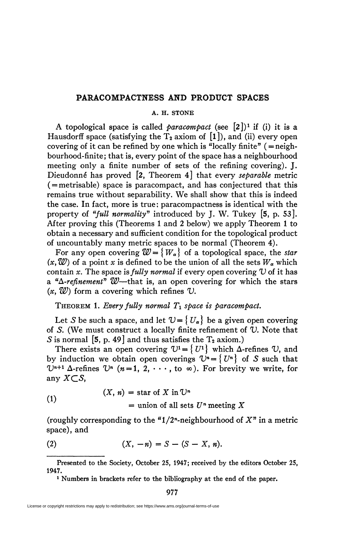## **PARACOMPACTNESS AND PRODUCT SPACES**

## **A. H. STONE**

A topological space is called *paracompact* (see  $[2]$ )<sup>1</sup> if (i) it is a Hausdorff space (satisfying the  $T_2$  axiom of [1]), and (ii) every open covering of it can be refined by one which is "locally finite"  $($  = neighbourhood-finite; that is, every point of the space has a neighbourhood meeting only a finite number of sets of the refining covering). J. Dieudonné has proved [2, Theorem 4] that every *separable* metric ( = metrisable) space is paracompact, and has conjectured that this remains true without separability. We shall show that this is indeed the case. In fact, more is true; paracompactness is identical with the property of *"full normality"* introduced by J. W. Tukey [5, p. 53]. After proving this (Theorems 1 and 2 below) we apply Theorem 1 to obtain a necessary and sufficient condition for the topological product of uncountably many metric spaces to be normal (Theorem 4).

For any open covering  $\mathcal{W} = \{W_{\alpha}\}\$  of a topological space, the *star*  $(x, \mathcal{W})$  of a point *x* is defined to be the union of all the sets  $W_a$  which contain x. The space is *fully normal* if every open covering  $U$  of it has a *<sup>u</sup>A-refinement" W*—that is, an open covering for which the stars  $(x, \mathcal{W})$  form a covering which refines  $\mathcal{U}$ .

THEOREM 1. *Every fully normal Ti space is paracompact.* 

Let *S* be such a space, and let  $\mathcal{V} = \{U_{\alpha}\}\)$  be a given open covering of *S.* (We must construct a locally finite refinement of *V.* Note that *S* is normal [5, p. 49] and thus satisfies the  $T_2$  axiom.)

There exists an open covering  $U^1 = \{ U^1 \}$  which  $\Delta$ -refines  $U$ , and by induction we obtain open coverings  $\mathcal{V}^n = \{ U^n \}$  of *S* such that  $\mathbb{U}^{n+1}$   $\Delta$ -refines  $\mathbb{U}^n$  ( $n=1, 2, \cdots$ , to  $\infty$ ). For brevity we write, for any  $X \subset S$ ,

(1) 
$$
(X, n) = \text{star of } X \text{ in } \mathbb{U}^n
$$

$$
= \text{union of all sets } U^n \text{ meeting } X
$$

 $\frac{1}{2}$ (roughly corresponding to the " $1/2$ "-neighbourhood of  $X$ " in a metric space), and

(2) 
$$
(X, -n) = S - (S - X, n).
$$

**1 Numbers in brackets refer to the bibliography at the end of the paper.** 

977

**Presented to the Society, October 25, 1947; received by the editors October 25, 1947.**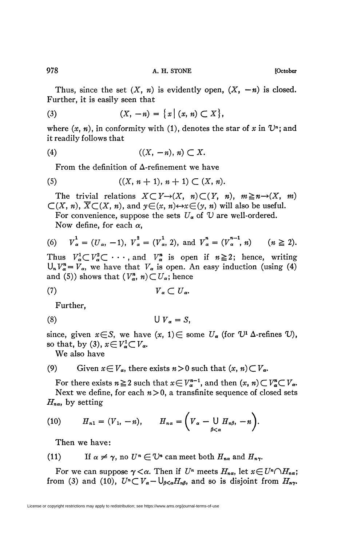Thus, since the set  $(X, n)$  is evidently open,  $(X, -n)$  is closed. Further, it is easily seen that

(3) 
$$
(X, -n) = \{x \mid (x, n) \subset X\},\
$$

where  $(x, n)$ , in conformity with (1), denotes the star of x in  $\mathbb{U}^n$ ; and it readily follows that

$$
(4) \qquad \qquad ((X, -n), n) \subset X.
$$

From the definition of  $\Delta$ -refinement we have

(5) 
$$
((X, n + 1), n + 1) \subset (X, n).
$$

The trivial relations  $X \subset Y \rightarrow (X, n) \subset (Y, n), m \geq n \rightarrow (X, m)$  $\mathcal{L}(X, n)$ ,  $\overline{X} \mathcal{L}(X, n)$ , and  $y \in (x, n) \leftrightarrow x \in (y, n)$  will also be useful.

For convenience, suppose the sets  $U_a$  of  $U_a$  are well-ordered. Now define, for each  $\alpha$ ,

(6) 
$$
V_{\alpha}^{1} = (U_{\alpha}, -1), V_{\alpha}^{2} = (V_{\alpha}^{1}, 2), \text{ and } V_{\alpha}^{n} = (V_{\alpha}^{n-1}, n) \qquad (n \geq 2).
$$

Thus  $V_\alpha^1 \subset V_\alpha^2 \subset \cdots$ , and  $V_\alpha^n$  is open if  $n \ge 2$ ; hence, writing  $U_n V_\alpha^n = V_\alpha$ , we have that  $V_\alpha$  is open. An easy induction (using (4) and (5)) shows that  $(V_\alpha^n, n) \subset U_\alpha$ ; hence

$$
(7) \t\t V_{\alpha} \subset U_{\alpha}.
$$

Further,

$$
(8) \t\t\t U V_{\alpha} = S,
$$

since, given  $x \in S$ , we have  $(x, 1) \in \text{some } U_{\alpha}$  (for  $U^1 \Delta$ -refines  $U$ ), so that, by (3),  $x \in V^1_{\alpha} \subset V_{\alpha}$ .

We also have

(9) Given 
$$
x \in V_\alpha
$$
, there exists  $n > 0$  such that  $(x, n) \subset V_\alpha$ .

For there exists  $n \ge 2$  such that  $x \in V_{\alpha}^{n-1}$ , and then  $(x, n) \subset V_{\alpha}^{n} \subset V_{\alpha}$ . Next we define, for each  $n>0$ , a transfinite sequence of closed sets  $H_{n\alpha}$ , by setting

(10) 
$$
H_{n1}=(V_1,-n), \qquad H_{n\alpha}=\bigg(V_{\alpha}-\bigcup_{\beta<\alpha}H_{n\beta},-n\bigg).
$$

Then we have:

(11) If 
$$
\alpha \neq \gamma
$$
, no  $U^n \in U^n$  can meet both  $H_{n\alpha}$  and  $H_{n\gamma}$ .

For we can suppose  $\gamma < \alpha$ . Then if  $U^n$  meets  $H_{n\alpha}$ , let  $x \in U^n \cap H_{n\alpha}$ ; from (3) and (10),  $U^n \subset V_\alpha - \bigcup_{\beta < \alpha} H_{n\beta}$ , and so is disjoint from  $H_{n\gamma}$ .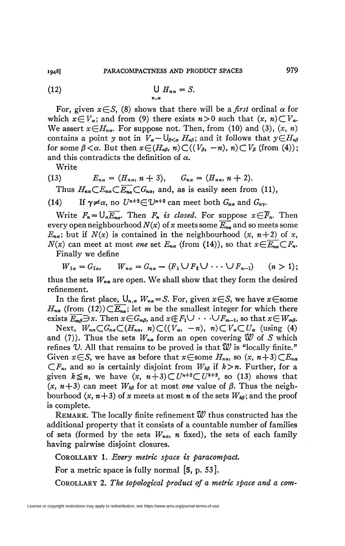(12) 
$$
\bigcup_{n,\alpha} H_{n\alpha} = S.
$$

For, given  $x \in S$ , (8) shows that there will be a *first* ordinal  $\alpha$  for which  $x \in V_\alpha$ ; and from (9) there exists  $n>0$  such that  $(x, n) \subset V_\alpha$ . We assert  $x \in H_{n\alpha}$ . For suppose not. Then, from (10) and (3),  $(x, n)$ contains a point *y* not in  $V_a - \bigcup_{\beta < \alpha} H_{n\beta}$ ; and it follows that  $y \in H_{n\beta}$ for some  $\beta < \alpha$ . But then  $x \in (H_{n\beta}, n) \subset ((V_{\beta}, -n), n) \subset V_{\beta}$  (from (4)); and this contradicts the definition of *a.* 

Write

(13) 
$$
E_{n\alpha} = (H_{n\alpha}, n+3),
$$
  $G_{n\alpha} = (H_{n\alpha}, n+2).$   
Thus  $H \subset F \subset \overline{F} \subset G$  and as is easily seen from (1)

Thus  $H_{n\alpha} \subset E_{n\alpha} \subset E_{n\alpha} \subset G_{n\alpha}$ , and, as is easily seen from (11),

(14) If  $\gamma \neq \alpha$ , no  $U^{n+2} \in \mathbb{U}^{n+2}$  can meet both  $G_{n\alpha}$  and  $G_{n\gamma}$ *.* 

Write  $F_n = \bigcup_{\alpha} \overline{E_{n\alpha}}$ . Then  $F_n$  *is closed.* For suppose  $x \in \overline{F}_n$ . Then every open neighbourhood  $N(x)$  of x meets some  $\overline{E_{na}}$  and so meets some  $E_{n\alpha}$ ; but if  $N(x)$  is contained in the neighbourhood  $(x, n+2)$  of x,  $N(x)$  can meet at most *one* set  $E_{n\alpha}$  (from (14)), so that  $x \in \overline{E_{n\alpha}} \subset F_n$ .

Finally we define

$$
W_{1\alpha}=G_{1\alpha}, \qquad W_{n\alpha}=G_{n\alpha}-(F_1\bigcup F_2\bigcup\cdots\bigcup F_{n-1})\qquad (n>1);
$$

thus the sets  $W_{n\alpha}$  are open. We shall show that they form the desired refinement.

In the first place,  $\bigcup_{n,\alpha} W_{n\alpha} = S$ . For, given  $x \in S$ , we have  $x \in$ some  $H_{n\alpha}$  (from (12)) $\subset \overline{E_{n\alpha}}$ ; let *m* be the smallest integer for which there exists  $\overline{E_m}$   $\Rightarrow$  *x*. Then  $x \in G_m$ , and  $x \notin F_1 \cup \cdots \cup F_{m-1}$ , so that  $x \in W_m$ .

Next,  $W_{na} \subset G_{na} \subset (H_{na}, n) \subset ((V_{\alpha}, -n), n) \subset V_{\alpha} \subset U_{\alpha}$  (using (4) and (7)). Thus the sets  $W_{n\alpha}$  form an open covering  $\mathcal W$  of *S* which refines *V.* All that remains to be proved is that *W* is "locally finite." Given  $x \in S$ , we have as before that  $x \in \text{some } H_{n\alpha}$ , so  $(x, n+3) \subset E_{n\alpha}$  $\subset F_n$ , and so is certainly disjoint from  $W_{k\beta}$  if  $k > n$ . Further, for a given  $k \leq n$ , we have  $(x, n+3) \subset U^{n+2} \subset U^{k+2}$ , so (13) shows that  $(x, n+3)$  can meet  $W_{k\beta}$  for at most *one* value of  $\beta$ . Thus the neighbourhood  $(x, n+3)$  of x meets at most n of the sets  $W_{k\beta}$ ; and the proof is complete.

REMARK. The locally finite refinement *W* thus constructed has the additional property that it consists of a countable number of families of sets (formed by the sets  $W_{n\alpha}$ , *n* fixed), the sets of each family having pairwise disjoint closures.

COROLLARY 1. *Every metric space is paracompact*.

For a metric space is fully normal [5, p. 53].

COROLLARY 2. *The topological product of a metric space and a com-*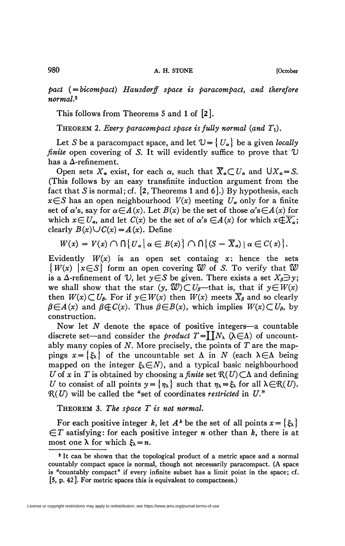*pact (^bicompact) Hausdorff space is paracompact*, *and therefore normal.<sup>2</sup>*

This follows from Theorems 5 and 1 of [2].

THEOREM 2. Every paracompact space is fully normal (and  $T_1$ ).

Let *S* be a paracompact space, and let  $\mathcal{U} = \{U_{\alpha}\}\$ be a given *locally finite* open covering of S. It will evidently suffice to prove that  $U$ has a  $\Delta$ -refinement.

Open sets  $X_{\alpha}$  exist, for each  $\alpha$ , such that  $\overline{X}_{\alpha} \subset U_{\alpha}$  and  $\bigcup X_{\alpha} = S$ . (This follows by an easy transfinite induction argument from the fact that *S* is normal; cf. [2, Theorems 1 and 6].) By hypothesis, each  $x \in S$  has an open neighbourhood  $V(x)$  meeting  $U_{\alpha}$  only for a finite set of  $\alpha$ 's, say for  $\alpha \in A(x)$ . Let  $B(x)$  be the set of those  $\alpha$ 's $\in A(x)$  for which  $x \in U_a$ , and let  $C(x)$  be the set of  $\alpha$ 's  $\in A(x)$  for which  $x \notin \overline{X_a}$ ; clearly  $B(x)\cup C(x)=A(x)$ . Define

$$
W(x) = V(x) \cap \big\{ U_{\alpha} \big| \alpha \in B(x) \big\} \cap \big\{ (S - \overline{X}_{\alpha}) \mid \alpha \in C(x) \big\}.
$$

Evidently  $W(x)$  is an open set containg x; hence the sets  $\{W(x) \mid x \in S\}$  form an open covering W of *S*. To verify that W is a  $\Delta$ -refinement of *V*, let  $y \in S$  be given. There exists a set  $X_{\beta} \supseteq y$ ; we shall show that the star  $(y, \mathcal{W}) \subset U_{\beta}$ —that is, that if  $y \in W(x)$ then  $W(x) \subset U_{\beta}$ . For if  $y \in W(x)$  then  $W(x)$  meets  $\overline{X}_{\beta}$  and so clearly  $\beta \in A(x)$  and  $\beta \notin C(x)$ . Thus  $\beta \in B(x)$ , which implies  $W(x) \subset U_{\beta}$ , by construction.

Now let *N* denote the space of positive integers—a countable discrete set—and consider the *product*  $T = \prod N_\lambda$  ( $\lambda \in \Lambda$ ) of uncountably many copies of *N.* More precisely, the points of *T* are the mappings  $x = \{\xi_{\lambda}\}\$  of the uncountable set  $\Lambda$  in N (each  $\lambda \in \Lambda$  being mapped on the integer  $\xi_k \in N$ , and a typical basic neighbourhood *U* of *x* in *T* is obtained by choosing a *finite* set  $R(U) \subset \Lambda$  and defining *V* to consist of all points  $y = \{ \eta_\lambda \}$  such that  $\eta_\lambda = \xi_\lambda$  for all  $\lambda \in \mathcal{R}(U)$ .  $R(U)$  will be called the "set of coordinates *restricted* in  $U$ ."

THEOREM 3. *The space T is not normal.* 

For each positive integer *k*, let  $A^k$  be the set of all points  $x = \{\xi_\lambda\}$  $\in$ T satisfying: for each positive integer *n* other than *k*, there is at most one  $\lambda$  for which  $\xi_{\lambda} = n$ .

<sup>&</sup>lt;sup>2</sup> It can be shown that the topological product of a metric space and a normal countably compact space is normal, though not necessarily paracompact. (A space is "countably compact" if every infinite subset has a limit point in the space; cf. [5, p. 42]. For metric spaces this is equivalent to compactness.)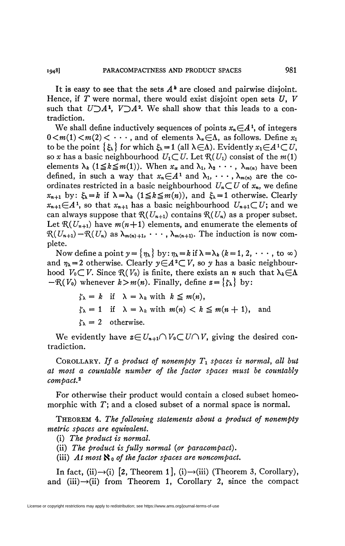It is easy to see that the sets  $A^*$  are closed and pairwise disjoint. Hence, if  $T$  were normal, there would exist disjoint open sets  $U$ ,  $V$ such that  $U\supseteq A^1$ ,  $V\supseteq A^2$ . We shall show that this leads to a contradiction.

We shall define inductively sequences of points  $x_n \in A^1$ , of integers  $0 \leq m(1) \leq m(2) \leq \cdots$ , and of elements  $\lambda_n \in \Lambda$ , as follows. Define  $x_1$ to be the point  $\{\xi_{\lambda}\}\$ for which  $\xi_{\lambda}=1$  (all  $\lambda\in\Lambda$ ). Evidently  $x_1\in A^1\subset U$ , so x has a basic neighbourhood  $U_1 \subset U$ . Let  $\mathcal{R}(U_1)$  consist of the  $m(1)$ elements  $\lambda_k$  ( $1 \leq k \leq m(1)$ ). When  $x_\alpha$  and  $\lambda_1, \lambda_2 \cdots, \lambda_{m(n)}$  have been defined, in such a way that  $x_n \in A^1$  and  $\lambda_1, \dots, \lambda_{m(n)}$  are the coordinates restricted in a basic neighbourhood  $U_n \subset U$  of  $x_n$ , we define  $x_{n+1}$  by:  $\xi_k = k$  if  $\lambda = \lambda_k$   $(1 \leq k \leq m(n))$ , and  $\xi_k = 1$  otherwise. Clearly  $x_{n+1} \in A^1$ , so that  $x_{n+1}$  has a basic neighbourhood  $U_{n+1} \subset U$ ; and we can always suppose that  $\mathcal{R} (U_{n+1})$  contains  $\mathcal{R} (U_n)$  as a proper subset. Let  $\mathcal{R}(U_{n+1})$  have  $m(n+1)$  elements, and enumerate the elements of  $\mathcal{R}(U_{n+1})-\mathcal{R}(U_n)$  as  $\lambda_{m(n)+1}, \cdots, \lambda_{m(n+1)}$ . The induction is now complete.

Now define a point  $y = \{\eta_\lambda\}$  by:  $\eta_\lambda = k$  if  $\lambda = \lambda_k$  ( $k = 1, 2, \dots$ , to  $\infty$ ) and  $\eta_{\lambda} = 2$  otherwise. Clearly  $\gamma \in A^2 \subset V$ , so y has a basic neighbourhood  $V_0 \subset V$ . Since  $\mathcal{R}(V_0)$  is finite, there exists an *n* such that  $\lambda_k \in \Lambda$  $-\mathcal{R}(V_0)$  whenever  $k>m(n)$ . Finally, define  $z=\{\zeta_{\lambda}\}\$  by:

$$
\zeta_{\lambda} = k \quad \text{if} \quad \lambda = \lambda_k \text{ with } k \leq m(n),
$$
\n
$$
\zeta_{\lambda} = 1 \quad \text{if} \quad \lambda = \lambda_k \text{ with } m(n) < k \leq m(n+1), \text{ and}
$$
\n
$$
\zeta_{\lambda} = 2 \quad \text{otherwise.}
$$

We evidently have  $\mathbf{z} \in U_{n+1} \cap V_0 \subset U \cap V$ , giving the desired contradiction.

COROLLARY. *If a product of nonempty Ti spaces is normal, all but at most a countable number of the factor spaces must be countably compact.<sup>2</sup>*

For otherwise their product would contain a closed subset homeomorphic with T; and a closed subset of a normal space is normal.

THEOREM 4. *The following statements about a product of nonempty metric spaces are equivalent.* 

(i) *The product is normal.* 

(ii) *The product is fully normal {or paracompact).* 

(iii)  $At most  $\aleph_0$  of the factor spaces are noncompact.$ 

In fact, (ii) $\rightarrow$ (i) [2, Theorem 1], (i) $\rightarrow$ (iii) (Theorem 3, Corollary), and  $(iii) \rightarrow (ii)$  from Theorem 1, Corollary 2, since the compact